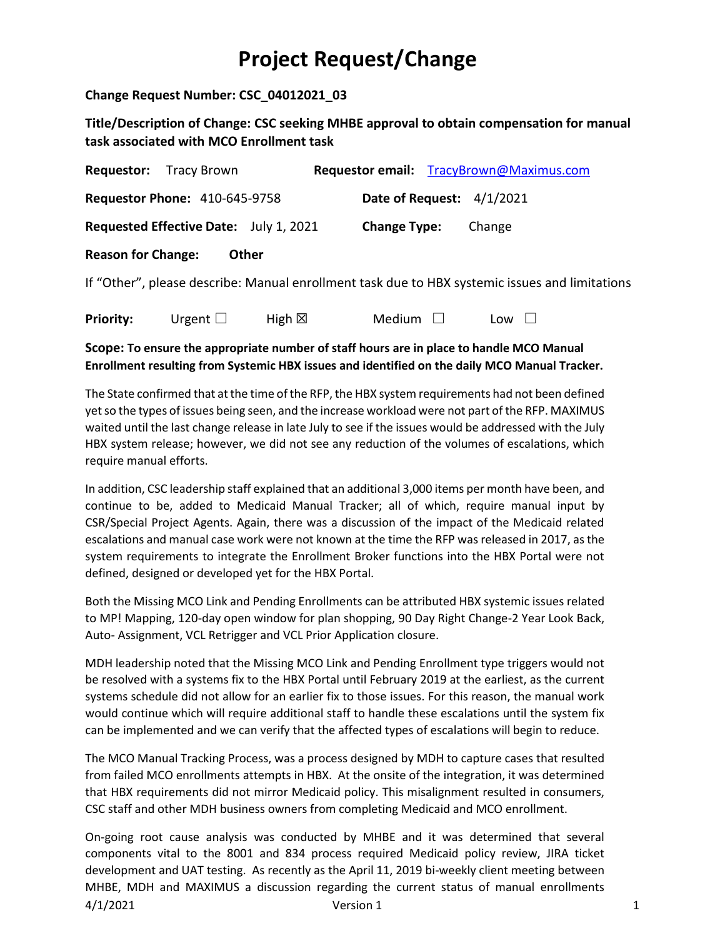**Change Request Number: CSC\_04012021\_03**

**Title/Description of Change: CSC seeking MHBE approval to obtain compensation for manual task associated with MCO Enrollment task** 

|                           | <b>Requestor:</b> Tracy Brown          |                  |                           | Requestor email: TracyBrown@Maximus.com                                                        |
|---------------------------|----------------------------------------|------------------|---------------------------|------------------------------------------------------------------------------------------------|
|                           | <b>Requestor Phone: 410-645-9758</b>   |                  | Date of Request: 4/1/2021 |                                                                                                |
|                           | Requested Effective Date: July 1, 2021 |                  | <b>Change Type:</b>       | Change                                                                                         |
| <b>Reason for Change:</b> | <b>Other</b>                           |                  |                           |                                                                                                |
|                           |                                        |                  |                           | If "Other", please describe: Manual enrollment task due to HBX systemic issues and limitations |
| <b>Priority:</b>          | Urgent $\Box$                          | High $\boxtimes$ | Medium $\Box$             | Low                                                                                            |

## **Scope: To ensure the appropriate number of staff hours are in place to handle MCO Manual Enrollment resulting from Systemic HBX issues and identified on the daily MCO Manual Tracker.**

The State confirmed that at the time of the RFP, the HBX system requirements had not been defined yet so the types of issues being seen, and the increase workload were not part of the RFP. MAXIMUS waited until the last change release in late July to see if the issues would be addressed with the July HBX system release; however, we did not see any reduction of the volumes of escalations, which require manual efforts.

In addition, CSC leadership staff explained that an additional 3,000 items per month have been, and continue to be, added to Medicaid Manual Tracker; all of which, require manual input by CSR/Special Project Agents. Again, there was a discussion of the impact of the Medicaid related escalations and manual case work were not known at the time the RFP was released in 2017, as the system requirements to integrate the Enrollment Broker functions into the HBX Portal were not defined, designed or developed yet for the HBX Portal.

Both the Missing MCO Link and Pending Enrollments can be attributed HBX systemic issues related to MP! Mapping, 120-day open window for plan shopping, 90 Day Right Change-2 Year Look Back, Auto- Assignment, VCL Retrigger and VCL Prior Application closure.

MDH leadership noted that the Missing MCO Link and Pending Enrollment type triggers would not be resolved with a systems fix to the HBX Portal until February 2019 at the earliest, as the current systems schedule did not allow for an earlier fix to those issues. For this reason, the manual work would continue which will require additional staff to handle these escalations until the system fix can be implemented and we can verify that the affected types of escalations will begin to reduce.

The MCO Manual Tracking Process, was a process designed by MDH to capture cases that resulted from failed MCO enrollments attempts in HBX. At the onsite of the integration, it was determined that HBX requirements did not mirror Medicaid policy. This misalignment resulted in consumers, CSC staff and other MDH business owners from completing Medicaid and MCO enrollment.

4/1/2021 Version 1 1 On-going root cause analysis was conducted by MHBE and it was determined that several components vital to the 8001 and 834 process required Medicaid policy review, JIRA ticket development and UAT testing. As recently as the April 11, 2019 bi-weekly client meeting between MHBE, MDH and MAXIMUS a discussion regarding the current status of manual enrollments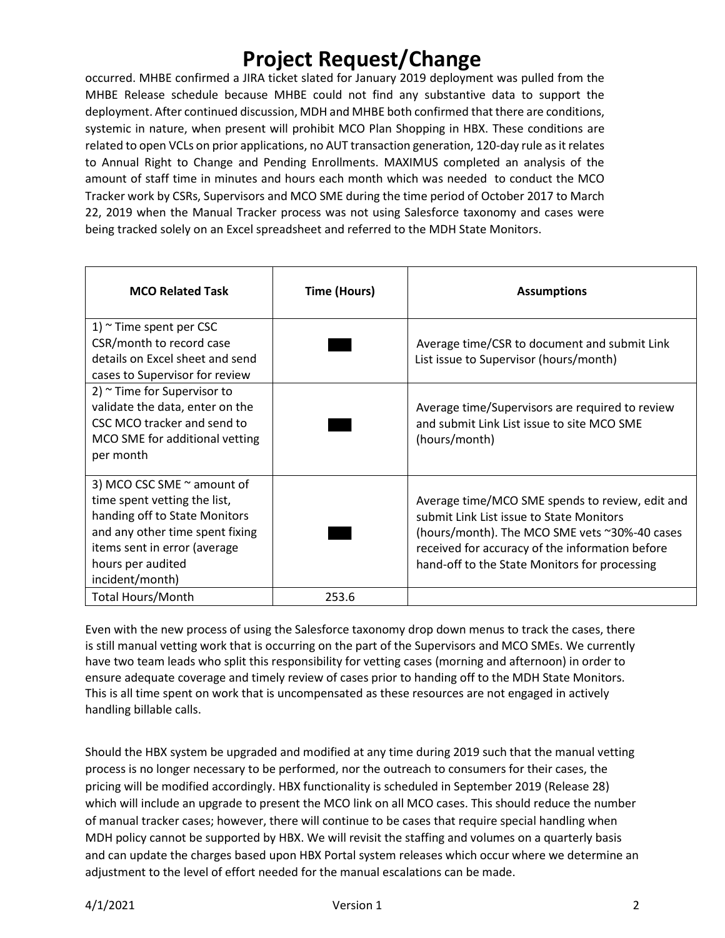occurred. MHBE confirmed a JIRA ticket slated for January 2019 deployment was pulled from the MHBE Release schedule because MHBE could not find any substantive data to support the deployment. After continued discussion, MDH and MHBE both confirmed that there are conditions, systemic in nature, when present will prohibit MCO Plan Shopping in HBX. These conditions are related to open VCLs on prior applications, no AUT transaction generation, 120-day rule as it relates to Annual Right to Change and Pending Enrollments. MAXIMUS completed an analysis of the amount of staff time in minutes and hours each month which was needed to conduct the MCO Tracker work by CSRs, Supervisors and MCO SME during the time period of October 2017 to March 22, 2019 when the Manual Tracker process was not using Salesforce taxonomy and cases were being tracked solely on an Excel spreadsheet and referred to the MDH State Monitors.

| <b>MCO Related Task</b>                                                                                                                                                                                | Time (Hours) | <b>Assumptions</b>                                                                                                                                                                                                                               |
|--------------------------------------------------------------------------------------------------------------------------------------------------------------------------------------------------------|--------------|--------------------------------------------------------------------------------------------------------------------------------------------------------------------------------------------------------------------------------------------------|
| 1) $\sim$ Time spent per CSC<br>CSR/month to record case<br>details on Excel sheet and send<br>cases to Supervisor for review                                                                          |              | Average time/CSR to document and submit Link<br>List issue to Supervisor (hours/month)                                                                                                                                                           |
| 2) $\sim$ Time for Supervisor to<br>validate the data, enter on the<br>CSC MCO tracker and send to<br>MCO SME for additional vetting<br>per month                                                      |              | Average time/Supervisors are required to review<br>and submit Link List issue to site MCO SME<br>(hours/month)                                                                                                                                   |
| 3) MCO CSC SME ~ amount of<br>time spent vetting the list,<br>handing off to State Monitors<br>and any other time spent fixing<br>items sent in error (average<br>hours per audited<br>incident/month) |              | Average time/MCO SME spends to review, edit and<br>submit Link List issue to State Monitors<br>(hours/month). The MCO SME vets ~30%-40 cases<br>received for accuracy of the information before<br>hand-off to the State Monitors for processing |
| <b>Total Hours/Month</b>                                                                                                                                                                               | 253.6        |                                                                                                                                                                                                                                                  |

Even with the new process of using the Salesforce taxonomy drop down menus to track the cases, there is still manual vetting work that is occurring on the part of the Supervisors and MCO SMEs. We currently have two team leads who split this responsibility for vetting cases (morning and afternoon) in order to ensure adequate coverage and timely review of cases prior to handing off to the MDH State Monitors. This is all time spent on work that is uncompensated as these resources are not engaged in actively handling billable calls.

Should the HBX system be upgraded and modified at any time during 2019 such that the manual vetting process is no longer necessary to be performed, nor the outreach to consumers for their cases, the pricing will be modified accordingly. HBX functionality is scheduled in September 2019 (Release 28) which will include an upgrade to present the MCO link on all MCO cases. This should reduce the number of manual tracker cases; however, there will continue to be cases that require special handling when MDH policy cannot be supported by HBX. We will revisit the staffing and volumes on a quarterly basis and can update the charges based upon HBX Portal system releases which occur where we determine an adjustment to the level of effort needed for the manual escalations can be made.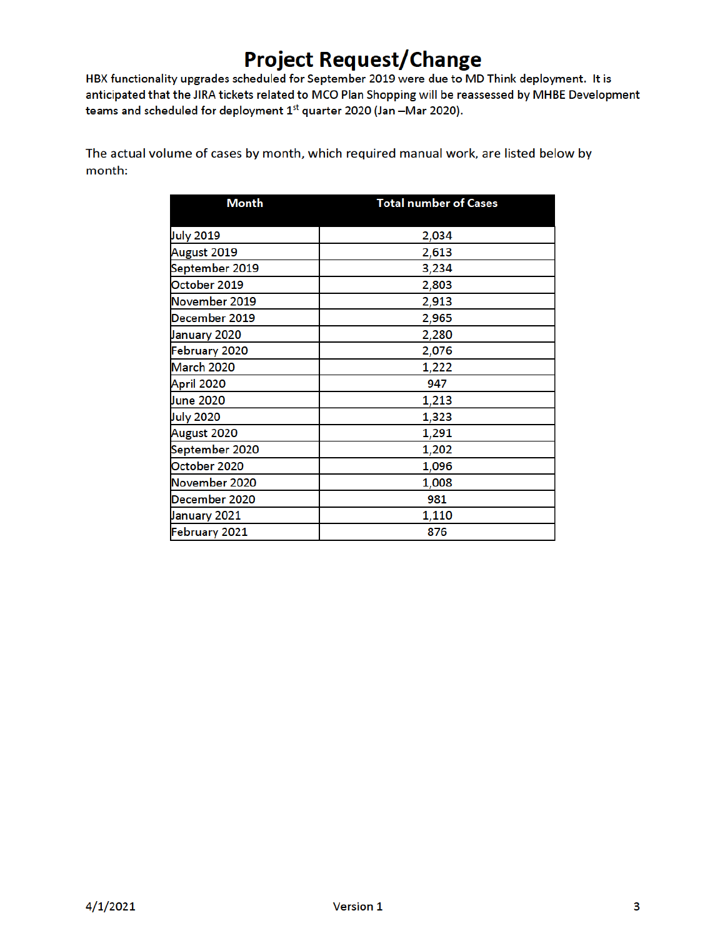HBX functionality upgrades scheduled for September 2019 were due to MD Think deployment. It is anticipated that the JIRA tickets related to MCO Plan Shopping will be reassessed by MHBE Development teams and scheduled for deployment 1st quarter 2020 (Jan -Mar 2020).

The actual volume of cases by month, which required manual work, are listed below by month:

| <b>Month</b>     | <b>Total number of Cases</b> |
|------------------|------------------------------|
|                  |                              |
| <b>July 2019</b> | 2,034                        |
| August 2019      | 2,613                        |
| September 2019   | 3,234                        |
| October 2019     | 2,803                        |
| November 2019    | 2,913                        |
| December 2019    | 2,965                        |
| January 2020     | 2,280                        |
| February 2020    | 2,076                        |
| March 2020       | 1,222                        |
| April 2020       | 947                          |
| June 2020        | 1,213                        |
| <b>July 2020</b> | 1,323                        |
| August 2020      | 1,291                        |
| September 2020   | 1,202                        |
| October 2020     | 1,096                        |
| November 2020    | 1,008                        |
| December 2020    | 981                          |
| January 2021     | 1,110                        |
| February 2021    | 876                          |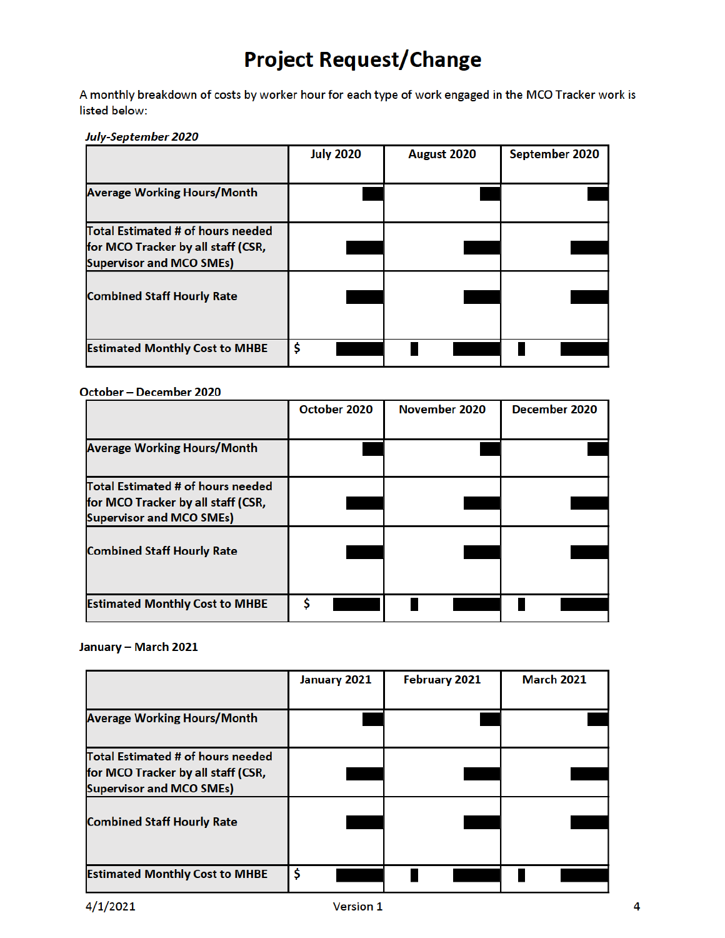A monthly breakdown of costs by worker hour for each type of work engaged in the MCO Tracker work is listed below:

### July-September 2020

|                                                                                                            | <b>July 2020</b> | August 2020 | September 2020 |
|------------------------------------------------------------------------------------------------------------|------------------|-------------|----------------|
| <b>Average Working Hours/Month</b>                                                                         |                  |             |                |
| Total Estimated # of hours needed<br>for MCO Tracker by all staff (CSR,<br><b>Supervisor and MCO SMEs)</b> |                  |             |                |
| <b>Combined Staff Hourly Rate</b>                                                                          |                  |             |                |
| <b>Estimated Monthly Cost to MHBE</b>                                                                      | \$               |             |                |

### October - December 2020

|                                       | October 2020 | November 2020 | December 2020 |
|---------------------------------------|--------------|---------------|---------------|
|                                       |              |               |               |
| <b>Average Working Hours/Month</b>    |              |               |               |
| Total Estimated # of hours needed     |              |               |               |
| for MCO Tracker by all staff (CSR,    |              |               |               |
| <b>Supervisor and MCO SMEs)</b>       |              |               |               |
|                                       |              |               |               |
| <b>Combined Staff Hourly Rate</b>     |              |               |               |
|                                       |              |               |               |
| <b>Estimated Monthly Cost to MHBE</b> | S            |               |               |

### January - March 2021

|                                                                                                            | January 2021 | <b>February 2021</b> | <b>March 2021</b> |
|------------------------------------------------------------------------------------------------------------|--------------|----------------------|-------------------|
| <b>Average Working Hours/Month</b>                                                                         |              |                      |                   |
| Total Estimated # of hours needed<br>for MCO Tracker by all staff (CSR,<br><b>Supervisor and MCO SMEs)</b> |              |                      |                   |
| <b>Combined Staff Hourly Rate</b>                                                                          |              |                      |                   |
| <b>Estimated Monthly Cost to MHBE</b>                                                                      | \$           |                      |                   |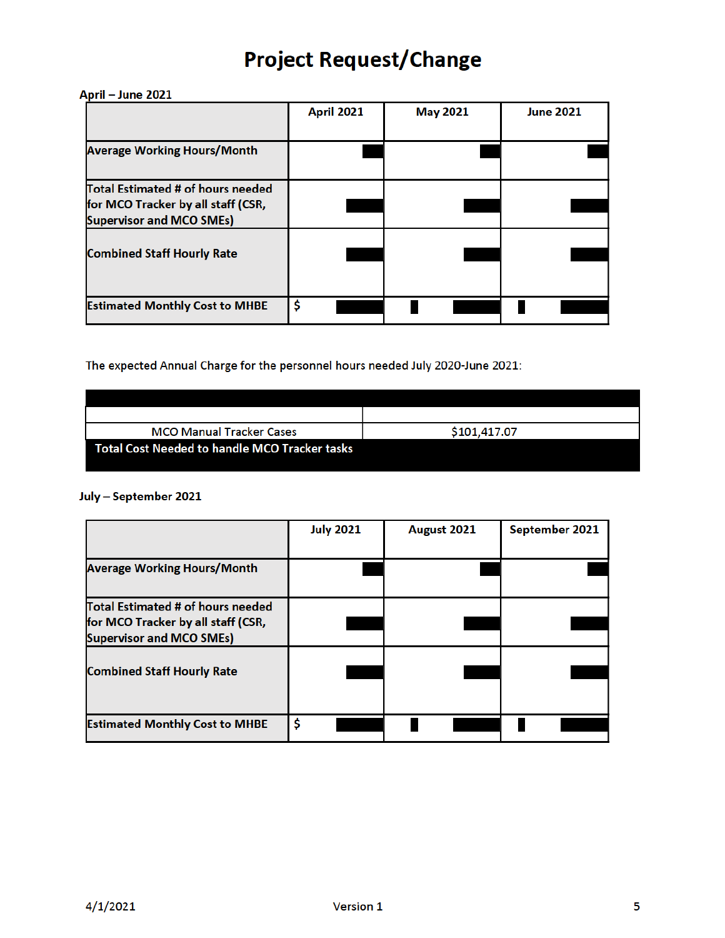### April - June 2021

|                                       | <b>April 2021</b> | <b>May 2021</b> | <b>June 2021</b> |
|---------------------------------------|-------------------|-----------------|------------------|
|                                       |                   |                 |                  |
| <b>Average Working Hours/Month</b>    |                   |                 |                  |
| Total Estimated # of hours needed     |                   |                 |                  |
| for MCO Tracker by all staff (CSR,    |                   |                 |                  |
| <b>Supervisor and MCO SMEs)</b>       |                   |                 |                  |
| <b>Combined Staff Hourly Rate</b>     |                   |                 |                  |
|                                       |                   |                 |                  |
|                                       |                   |                 |                  |
| <b>Estimated Monthly Cost to MHBE</b> | \$                |                 |                  |

The expected Annual Charge for the personnel hours needed July 2020-June 2021:

| <b>MCO Manual Tracker Cases</b>               | \$101,417.07 |
|-----------------------------------------------|--------------|
| Total Cost Needed to handle MCO Tracker tasks |              |

## July - September 2021

|                                                                                                            | <b>July 2021</b> | August 2021 | September 2021 |
|------------------------------------------------------------------------------------------------------------|------------------|-------------|----------------|
| <b>Average Working Hours/Month</b>                                                                         |                  |             |                |
| Total Estimated # of hours needed<br>for MCO Tracker by all staff (CSR,<br><b>Supervisor and MCO SMEs)</b> |                  |             |                |
| <b>Combined Staff Hourly Rate</b>                                                                          |                  |             |                |
| <b>Estimated Monthly Cost to MHBE</b>                                                                      | \$               |             |                |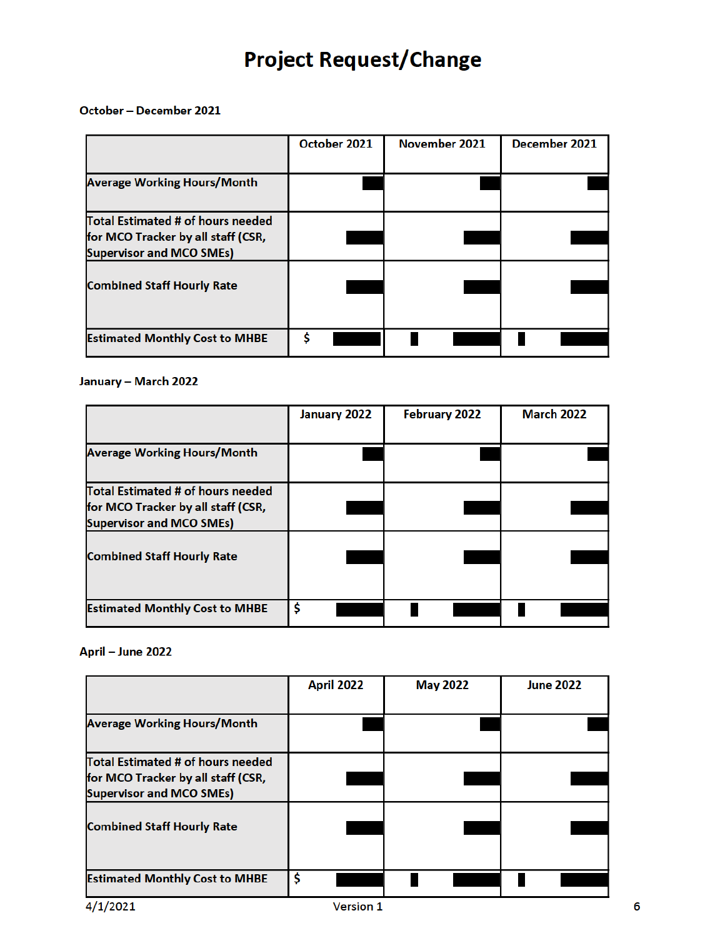October - December 2021

|                                                                                                            | October 2021 | November 2021 | December 2021 |
|------------------------------------------------------------------------------------------------------------|--------------|---------------|---------------|
| <b>Average Working Hours/Month</b>                                                                         |              |               |               |
| Total Estimated # of hours needed<br>for MCO Tracker by all staff (CSR,<br><b>Supervisor and MCO SMEs)</b> |              |               |               |
| <b>Combined Staff Hourly Rate</b>                                                                          |              |               |               |
| <b>Estimated Monthly Cost to MHBE</b>                                                                      | ¢            |               |               |

### January - March 2022

|                                                                                                            | January 2022 | February 2022 | <b>March 2022</b> |
|------------------------------------------------------------------------------------------------------------|--------------|---------------|-------------------|
| <b>Average Working Hours/Month</b>                                                                         |              |               |                   |
| Total Estimated # of hours needed<br>for MCO Tracker by all staff (CSR,<br><b>Supervisor and MCO SMEs)</b> |              |               |                   |
| <b>Combined Staff Hourly Rate</b>                                                                          |              |               |                   |
| <b>Estimated Monthly Cost to MHBE</b>                                                                      | \$           |               |                   |

### April - June 2022

|                                                                                                            | <b>April 2022</b> | <b>May 2022</b> | <b>June 2022</b> |
|------------------------------------------------------------------------------------------------------------|-------------------|-----------------|------------------|
| <b>Average Working Hours/Month</b>                                                                         |                   |                 |                  |
| Total Estimated # of hours needed<br>for MCO Tracker by all staff (CSR,<br><b>Supervisor and MCO SMEs)</b> |                   |                 |                  |
| <b>Combined Staff Hourly Rate</b>                                                                          |                   |                 |                  |
| <b>Estimated Monthly Cost to MHBE</b>                                                                      | \$                |                 |                  |